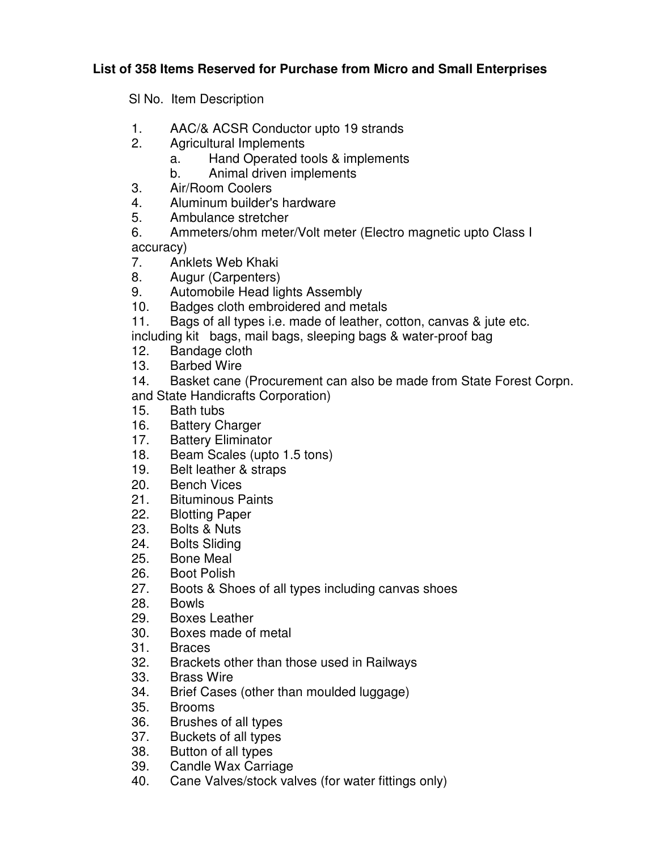## **List of 358 Items Reserved for Purchase from Micro and Small Enterprises**

Sl No. Item Description

- 1. AAC/& ACSR Conductor upto 19 strands
- 2. Agricultural Implements
	- a. Hand Operated tools & implements
	- b. Animal driven implements
- 3. Air/Room Coolers
- 4. Aluminum builder's hardware
- 5. Ambulance stretcher
- 6. Ammeters/ohm meter/Volt meter (Electro magnetic upto Class I accuracy)
- 7. Anklets Web Khaki
- 8. Augur (Carpenters)
- 9. Automobile Head lights Assembly
- 10. Badges cloth embroidered and metals
- 11. Bags of all types i.e. made of leather, cotton, canvas & jute etc.
- including kit bags, mail bags, sleeping bags & water-proof bag
- 12. Bandage cloth
- 13. Barbed Wire
- 14. Basket cane (Procurement can also be made from State Forest Corpn. and State Handicrafts Corporation)
- 15. Bath tubs
- 16. Battery Charger
- 17. Battery Eliminator
- 18. Beam Scales (upto 1.5 tons)
- 19. Belt leather & straps
- 20. Bench Vices<br>21. Bituminous P
- **Bituminous Paints**
- 22. Blotting Paper
- 23. Bolts & Nuts
- 24. Bolts Sliding
- 25. Bone Meal
- 26. Boot Polish
- 27. Boots & Shoes of all types including canvas shoes
- 28. Bowls
- 29. Boxes Leather
- 30. Boxes made of metal
- 31. Braces
- 32. Brackets other than those used in Railways
- 33. Brass Wire
- 34. Brief Cases (other than moulded luggage)
- 35. Brooms
- 36. Brushes of all types
- 37. Buckets of all types<br>38. Button of all types
- Button of all types
- 39. Candle Wax Carriage
- 40. Cane Valves/stock valves (for water fittings only)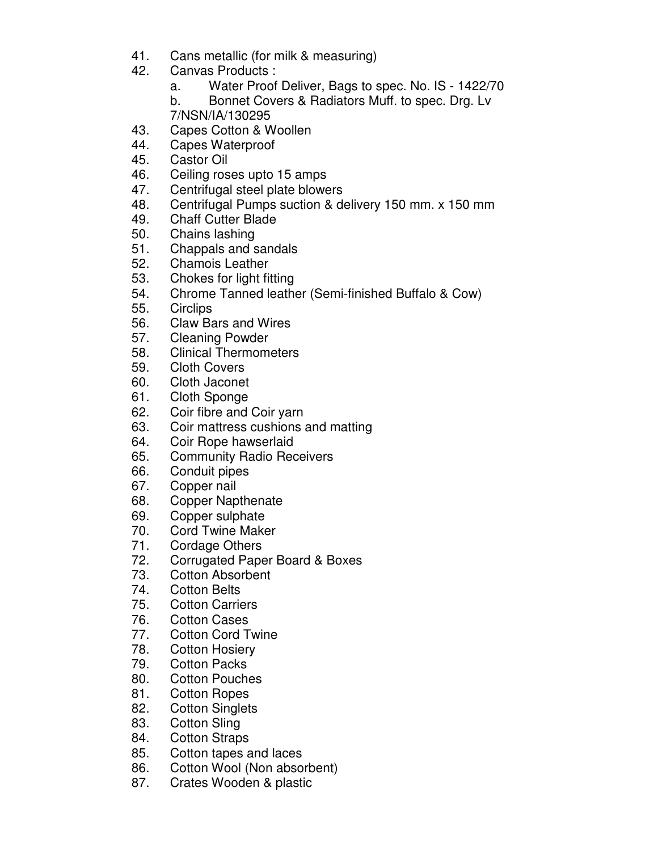- 41. Cans metallic (for milk & measuring)
- 42. Canvas Products :
	- a. Water Proof Deliver, Bags to spec. No. IS 1422/70
	- b. Bonnet Covers & Radiators Muff. to spec. Drg. Lv 7/NSN/IA/130295
- 43. Capes Cotton & Woollen
- 44. Capes Waterproof
- 45. Castor Oil
- 46. Ceiling roses upto 15 amps
- 47. Centrifugal steel plate blowers
- 48. Centrifugal Pumps suction & delivery 150 mm. x 150 mm
- 49. Chaff Cutter Blade
- 50. Chains lashing
- 51. Chappals and sandals
- 52. Chamois Leather
- 53. Chokes for light fitting
- 54. Chrome Tanned leather (Semi-finished Buffalo & Cow)
- 55. Circlips
- 56. Claw Bars and Wires
- 57. Cleaning Powder
- 58. Clinical Thermometers
- 59. Cloth Covers
- 60. Cloth Jaconet
- 61. Cloth Sponge
- 62. Coir fibre and Coir yarn
- 63. Coir mattress cushions and matting
- 64. Coir Rope hawserlaid
- 65. Community Radio Receivers
- 66. Conduit pipes
- 67. Copper nail
- 68. Copper Napthenate
- 69. Copper sulphate
- 70. Cord Twine Maker
- 71. Cordage Others
- 72. Corrugated Paper Board & Boxes
- 73. Cotton Absorbent
- 74. Cotton Belts
- 75. Cotton Carriers
- 76. Cotton Cases
- 77. Cotton Cord Twine
- 78. Cotton Hosiery
- 79. Cotton Packs
- 80. Cotton Pouches
- 81. Cotton Ropes
- 82. Cotton Singlets
- 83. Cotton Sling
- 84. Cotton Straps
- 85. Cotton tapes and laces
- 86. Cotton Wool (Non absorbent)
- 87. Crates Wooden & plastic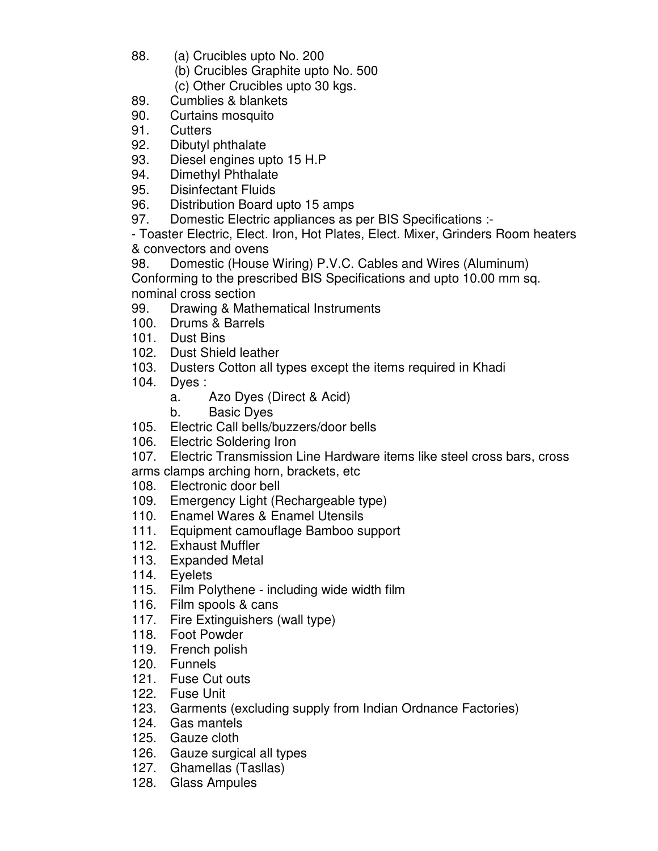- 88. (a) Crucibles upto No. 200
	- (b) Crucibles Graphite upto No. 500
	- (c) Other Crucibles upto 30 kgs.
- 89. Cumblies & blankets
- 90. Curtains mosquito
- 91. Cutters
- 92. Dibutyl phthalate
- 93. Diesel engines upto 15 H.P
- 94. Dimethyl Phthalate
- 95. Disinfectant Fluids
- 96. Distribution Board upto 15 amps
- 97. Domestic Electric appliances as per BIS Specifications :-

- Toaster Electric, Elect. Iron, Hot Plates, Elect. Mixer, Grinders Room heaters & convectors and ovens

98. Domestic (House Wiring) P.V.C. Cables and Wires (Aluminum) Conforming to the prescribed BIS Specifications and upto 10.00 mm sq. nominal cross section

- 99. Drawing & Mathematical Instruments
- 100. Drums & Barrels
- 101. Dust Bins
- 102. Dust Shield leather
- 103. Dusters Cotton all types except the items required in Khadi
- 104. Dyes :
	- a. Azo Dyes (Direct & Acid)
	- b. Basic Dyes
- 105. Electric Call bells/buzzers/door bells
- 106. Electric Soldering Iron

107. Electric Transmission Line Hardware items like steel cross bars, cross

arms clamps arching horn, brackets, etc

- 108. Electronic door bell
- 109. Emergency Light (Rechargeable type)
- 110. Enamel Wares & Enamel Utensils
- 111. Equipment camouflage Bamboo support
- 112. Exhaust Muffler
- 113. Expanded Metal
- 114. Eyelets
- 115. Film Polythene including wide width film
- 116. Film spools & cans
- 117. Fire Extinguishers (wall type)
- 118. Foot Powder
- 119. French polish
- 120. Funnels
- 121. Fuse Cut outs
- 122. Fuse Unit
- 123. Garments (excluding supply from Indian Ordnance Factories)
- 124. Gas mantels
- 125. Gauze cloth
- 126. Gauze surgical all types
- 127. Ghamellas (Tasllas)
- 128. Glass Ampules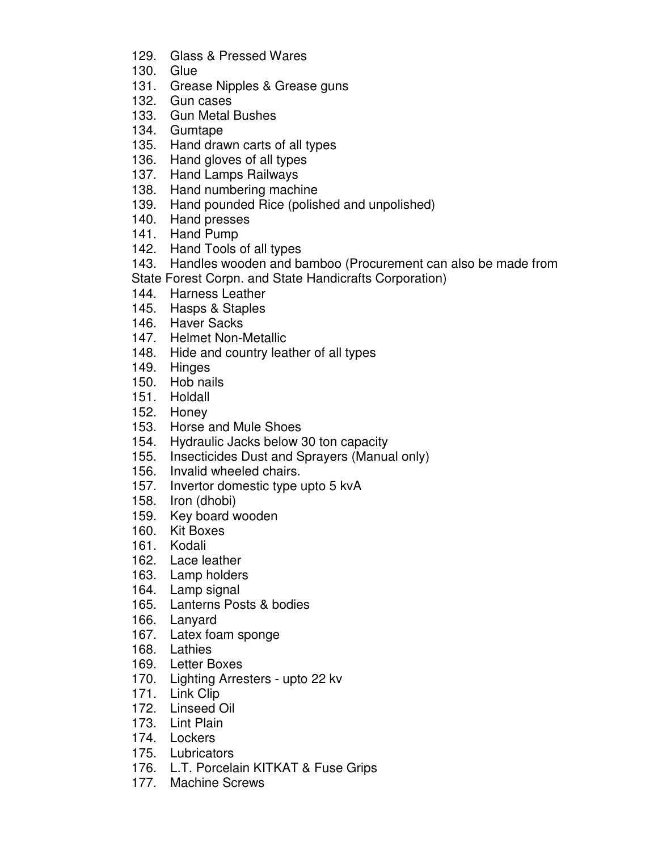- 129. Glass & Pressed Wares
- 130. Glue
- 131. Grease Nipples & Grease guns
- 132. Gun cases
- 133. Gun Metal Bushes
- 134. Gumtape
- 135. Hand drawn carts of all types
- 136. Hand gloves of all types
- 137. Hand Lamps Railways
- 138. Hand numbering machine
- 139. Hand pounded Rice (polished and unpolished)
- 140. Hand presses
- 141. Hand Pump
- 142. Hand Tools of all types
- 143. Handles wooden and bamboo (Procurement can also be made from
- State Forest Corpn. and State Handicrafts Corporation)
- 144. Harness Leather
- 145. Hasps & Staples
- 146. Haver Sacks
- 147. Helmet Non-Metallic
- 148. Hide and country leather of all types
- 149. Hinges
- 150. Hob nails
- 151. Holdall
- 152. Honey
- 153. Horse and Mule Shoes
- 154. Hydraulic Jacks below 30 ton capacity
- 155. Insecticides Dust and Sprayers (Manual only)
- 156. Invalid wheeled chairs.
- 157. Invertor domestic type upto 5 kvA
- 158. Iron (dhobi)
- 159. Key board wooden
- 160. Kit Boxes
- 161. Kodali
- 162. Lace leather
- 163. Lamp holders
- 164. Lamp signal
- 165. Lanterns Posts & bodies
- 166. Lanyard
- 167. Latex foam sponge
- 168. Lathies
- 169. Letter Boxes
- 170. Lighting Arresters upto 22 kv
- 171. Link Clip
- 172. Linseed Oil
- 173. Lint Plain
- 174. Lockers
- 175. Lubricators
- 176. L.T. Porcelain KITKAT & Fuse Grips
- 177. Machine Screws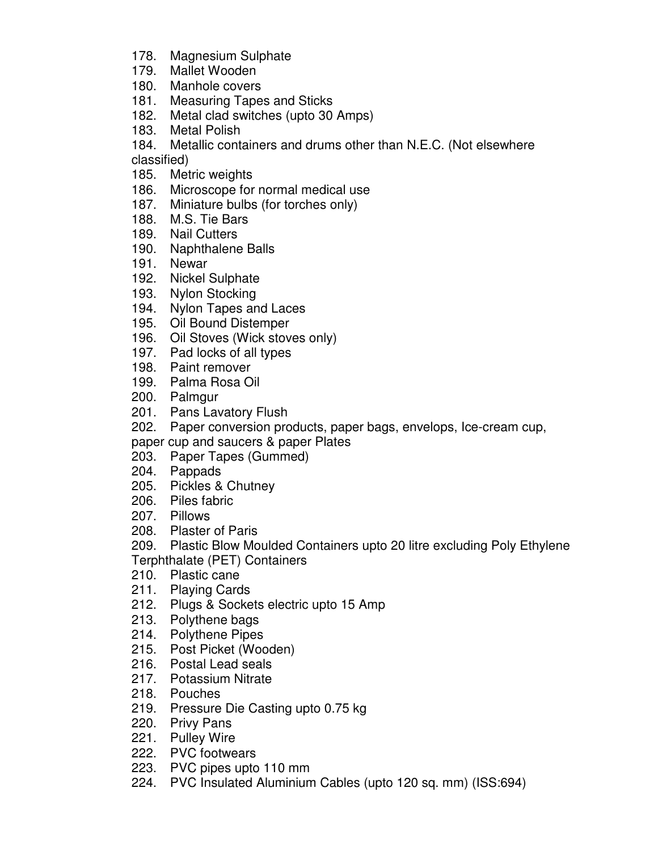- 178. Magnesium Sulphate
- 179. Mallet Wooden
- 180. Manhole covers
- 181. Measuring Tapes and Sticks
- 182. Metal clad switches (upto 30 Amps)
- 183. Metal Polish
- 184. Metallic containers and drums other than N.E.C. (Not elsewhere classified)
- 185. Metric weights
- 186. Microscope for normal medical use
- 187. Miniature bulbs (for torches only)
- 188. M.S. Tie Bars
- 189. Nail Cutters
- 190. Naphthalene Balls
- 191. Newar
- 192. Nickel Sulphate
- 193. Nylon Stocking
- 194. Nylon Tapes and Laces
- 195. Oil Bound Distemper
- 196. Oil Stoves (Wick stoves only)
- 197. Pad locks of all types
- 198. Paint remover
- 199. Palma Rosa Oil
- 200. Palmgur
- 201. Pans Lavatory Flush
- 202. Paper conversion products, paper bags, envelops, Ice-cream cup,
- paper cup and saucers & paper Plates
- 203. Paper Tapes (Gummed)
- 204. Pappads
- 205. Pickles & Chutney
- 206. Piles fabric
- 207. Pillows
- 208. Plaster of Paris
- 209. Plastic Blow Moulded Containers upto 20 litre excluding Poly Ethylene
- Terphthalate (PET) Containers
- 210. Plastic cane
- 211. Playing Cards
- 212. Plugs & Sockets electric upto 15 Amp
- 213. Polythene bags
- 214. Polythene Pipes
- 215. Post Picket (Wooden)
- 216. Postal Lead seals
- 217. Potassium Nitrate
- 218. Pouches
- 219. Pressure Die Casting upto 0.75 kg
- 220. Privy Pans
- 221. Pulley Wire
- 222. PVC footwears
- 223. PVC pipes upto 110 mm
- 224. PVC Insulated Aluminium Cables (upto 120 sq. mm) (ISS:694)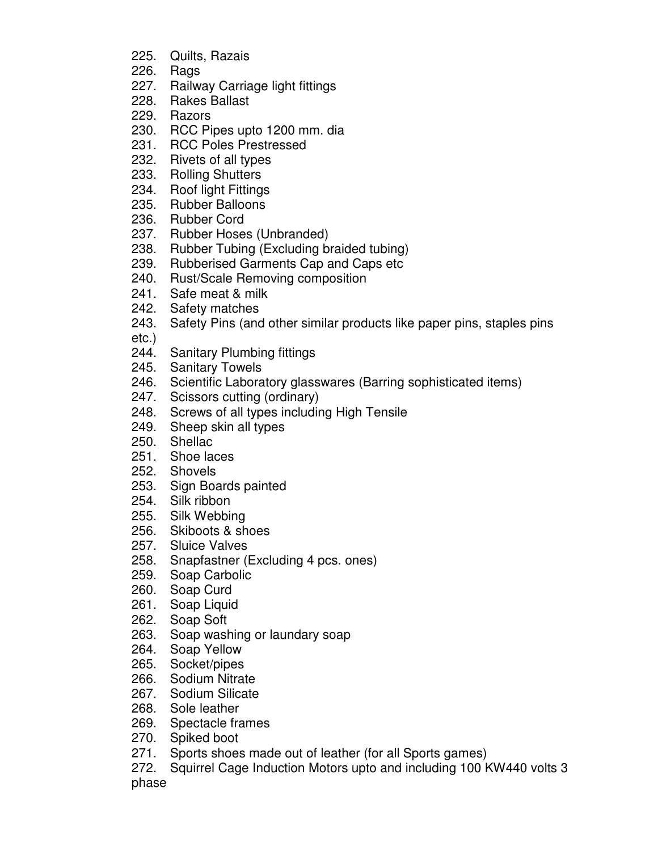- 225. Quilts, Razais
- 226. Rags
- 227. Railway Carriage light fittings
- 228. Rakes Ballast
- 229. Razors
- 230. RCC Pipes upto 1200 mm. dia
- 231. RCC Poles Prestressed
- 232. Rivets of all types
- 233. Rolling Shutters
- 234. Roof light Fittings
- 235. Rubber Balloons
- 236. Rubber Cord
- 237. Rubber Hoses (Unbranded)
- 238. Rubber Tubing (Excluding braided tubing)
- 239. Rubberised Garments Cap and Caps etc
- 240. Rust/Scale Removing composition
- 241. Safe meat & milk
- 242. Safety matches
- 243. Safety Pins (and other similar products like paper pins, staples pins etc.)
- 244. Sanitary Plumbing fittings
- 245. Sanitary Towels
- 246. Scientific Laboratory glasswares (Barring sophisticated items)
- 247. Scissors cutting (ordinary)
- 248. Screws of all types including High Tensile
- 249. Sheep skin all types
- 250. Shellac
- 251. Shoe laces
- 252. Shovels
- 253. Sign Boards painted
- 254. Silk ribbon
- 255. Silk Webbing
- 256. Skiboots & shoes
- 257. Sluice Valves
- 258. Snapfastner (Excluding 4 pcs. ones)
- 259. Soap Carbolic
- 260. Soap Curd
- 261. Soap Liquid
- 262. Soap Soft
- 263. Soap washing or laundary soap
- 264. Soap Yellow
- 265. Socket/pipes
- 266. Sodium Nitrate
- 267. Sodium Silicate
- 268. Sole leather
- 269. Spectacle frames
- 270. Spiked boot
- 271. Sports shoes made out of leather (for all Sports games)
- 272. Squirrel Cage Induction Motors upto and including 100 KW440 volts 3 phase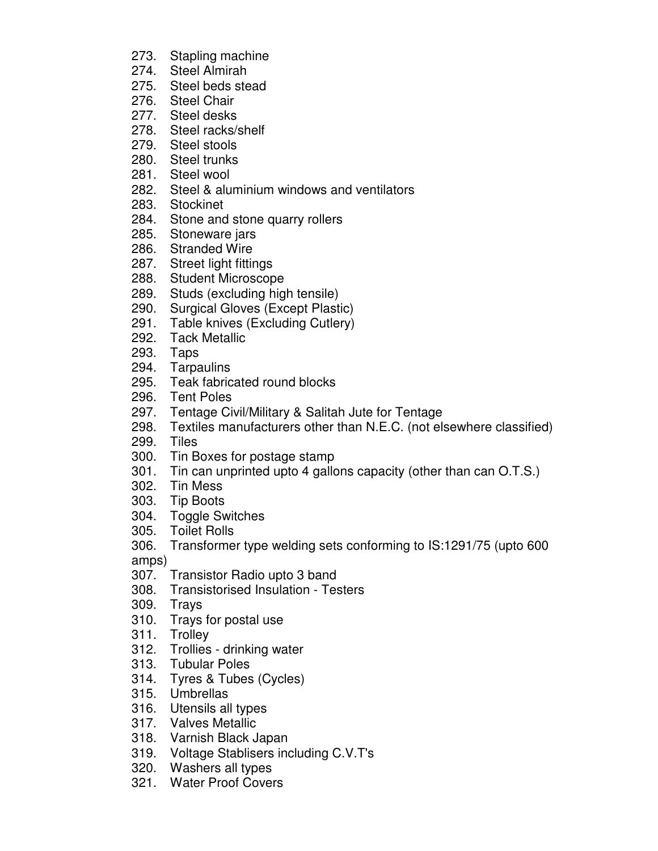- 273. Stapling machine
- 274. Steel Almirah
- 275. Steel beds stead
- 276. Steel Chair
- 277. Steel desks
- 278. Steel racks/shelf
- 279. Steel stools
- 280. Steel trunks
- 281. Steel wool
- 282. Steel & aluminium windows and ventilators
- 283. Stockinet
- 284. Stone and stone quarry rollers
- 285. Stoneware jars
- 286. Stranded Wire
- 287. Street light fittings
- 288. Student Microscope
- 289. Studs (excluding high tensile)
- 290. Surgical Gloves (Except Plastic)
- 291. Table knives (Excluding Cutlery)
- 292. Tack Metallic
- 293. Taps
- 294. Tarpaulins
- 295. Teak fabricated round blocks
- 296. Tent Poles
- 297. Tentage Civil/Military & Salitah Jute for Tentage
- 298. Textiles manufacturers other than N.E.C. (not elsewhere classified)
- 299. Tiles
- 300. Tin Boxes for postage stamp
- 301. Tin can unprinted upto 4 gallons capacity (other than can O.T.S.)
- 302. Tin Mess
- 303. Tip Boots
- 304. Toggle Switches
- 305. Toilet Rolls
- 306. Transformer type welding sets conforming to IS:1291/75 (upto 600

amps)

- 307. Transistor Radio upto 3 band
- 308. Transistorised Insulation Testers
- 309. Trays
- 310. Trays for postal use
- 311. Trolley
- 312. Trollies drinking water
- 313. Tubular Poles
- 314. Tyres & Tubes (Cycles)
- 315. Umbrellas
- 316. Utensils all types
- 317. Valves Metallic
- 318. Varnish Black Japan
- 319. Voltage Stablisers including C.V.T's
- 320. Washers all types
- 321. Water Proof Covers